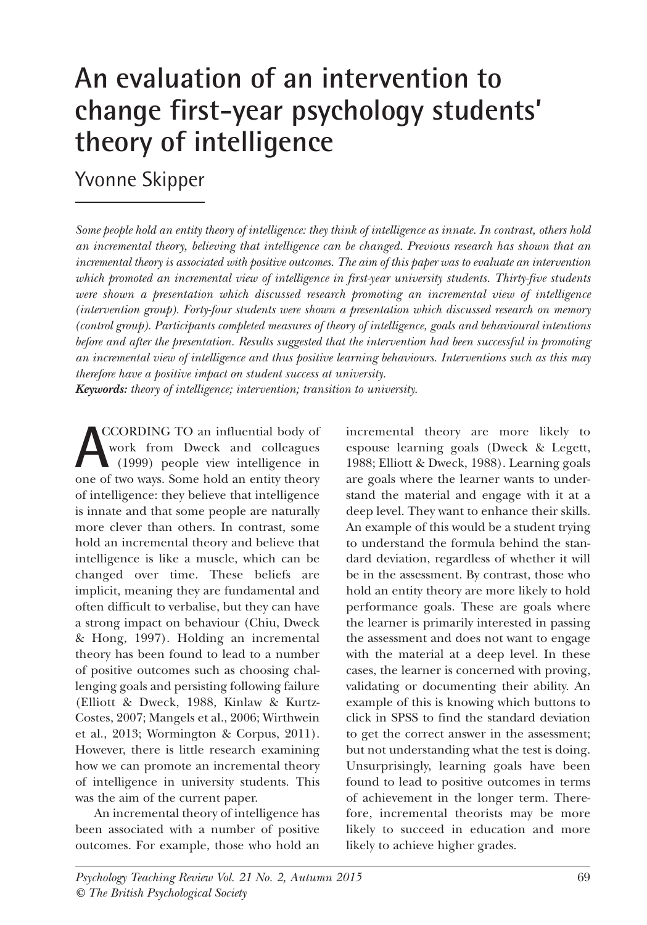# **An evaluation of an intervention to change first-year psychology students' theory of intelligence**

# Yvonne Skipper

Some people hold an entity theory of intelligence: they think of intelligence as innate. In contrast, others hold *an incremental theory, believing that intelligence can be changed. Previous research has shown that an* incremental theory is associated with positive outcomes. The aim of this paper was to evaluate an intervention *which promoted an incremental view of intelligence in first-year university students. Thirty-five students were shown a presentation which discussed research promoting an incremental view of intelligence (intervention group). Forty-four students were shown a presentation which discussed research on memory (control group). Participants completed measures of theory of intelligence, goals and behavioural intentions before and after the presentation. Results suggested that the intervention had been successful in promoting an incremental view of intelligence and thus positive learning behaviours. Interventions such as this may therefore have a positive impact on student success at university. Keywords: theory of intelligence; intervention; transition to university.*

CCORDINg TO an influential body of work from Dweck and colleagues (1999) people view intelligence in **ACCORDING TO** an influential body of work from Dweck and colleagues (1999) people view intelligence in one of two ways. Some hold an entity theory of intelligence: they believe that intelligence is innate and that some people are naturally more clever than others. In contrast, some hold an incremental theory and believe that intelligence is like a muscle, which can be changed over time. These beliefs are implicit, meaning they are fundamental and often difficult to verbalise, but they can have a strong impact on behaviour (Chiu, Dweck & Hong, 1997). Holding an incremental theory has been found to lead to a number of positive outcomes such as choosing challenging goals and persisting following failure (Elliott & Dweck, 1988, Kinlaw & Kurtz-Costes, 2007; Mangels et al., 2006; Wirthwein et al., 2013; Wormington & Corpus, 2011). However, there is little research examining how we can promote an incremental theory of intelligence in university students. This was the aim of the current paper.

An incremental theory of intelligence has been associated with a number of positive outcomes. For example, those who hold an

incremental theory are more likely to espouse learning goals (Dweck & Legett, 1988; Elliott & Dweck, 1988). Learning goals are goals where the learner wants to understand the material and engage with it at a deep level. They want to enhance their skills. An example of this would be a student trying to understand the formula behind the standard deviation, regardless of whether it will be in the assessment. By contrast, those who hold an entity theory are more likely to hold performance goals. These are goals where the learner is primarily interested in passing the assessment and does not want to engage with the material at a deep level. In these cases, the learner is concerned with proving, validating or documenting their ability. An example of this is knowing which buttons to click in SPSS to find the standard deviation to get the correct answer in the assessment; but not understanding what the test is doing. Unsurprisingly, learning goals have been found to lead to positive outcomes in terms of achievement in the longer term. Therefore, incremental theorists may be more likely to succeed in education and more likely to achieve higher grades.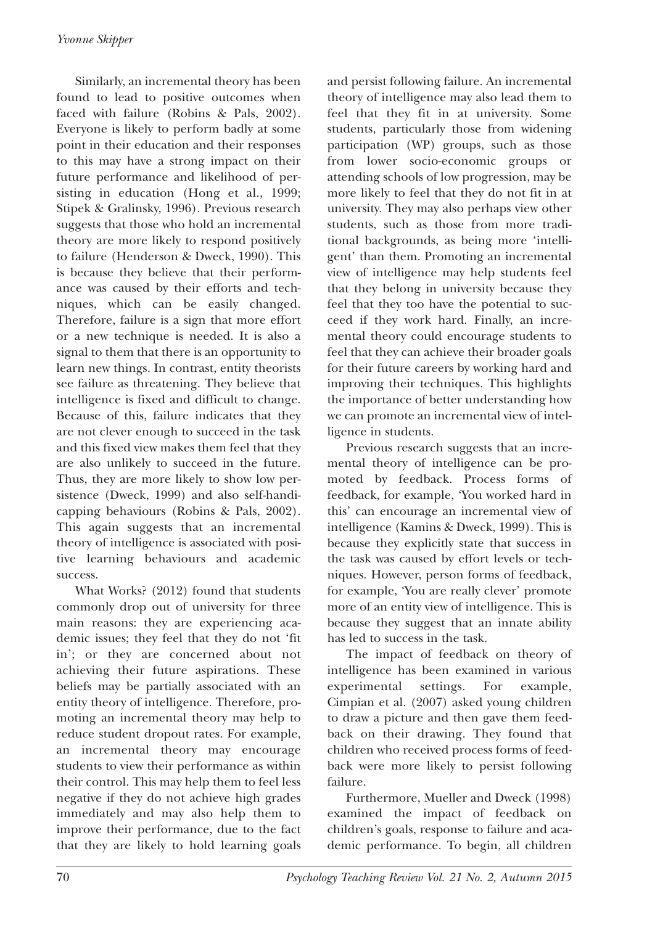Similarly, an incremental theory has been found to lead to positive outcomes when faced with failure (Robins & Pals, 2002). Everyone is likely to perform badly at some point in their education and their responses to this may have a strong impact on their future performance and likelihood of persisting in education (Hong et al., 1999; Stipek & Gralinsky, 1996). Previous research suggests that those who hold an incremental theory are more likely to respond positively to failure (Henderson & Dweck, 1990). This is because they believe that their performance was caused by their efforts and techniques, which can be easily changed. Therefore, failure is a sign that more effort or a new technique is needed. It is also a signal to them that there is an opportunity to learn new things. In contrast, entity theorists see failure as threatening. They believe that intelligence is fixed and difficult to change. Because of this, failure indicates that they are not clever enough to succeed in the task and this fixed view makes them feel that they are also unlikely to succeed in the future. Thus, they are more likely to show low persistence (Dweck, 1999) and also self-handicapping behaviours (Robins & Pals, 2002). This again suggests that an incremental theory of intelligence is associated with positive learning behaviours and academic success.

What Works? (2012) found that students commonly drop out of university for three main reasons: they are experiencing academic issues; they feel that they do not 'fit in'; or they are concerned about not achieving their future aspirations. These beliefs may be partially associated with an entity theory of intelligence. Therefore, promoting an incremental theory may help to reduce student dropout rates. For example, an incremental theory may encourage students to view their performance as within their control. This may help them to feel less negative if they do not achieve high grades immediately and may also help them to improve their performance, due to the fact that they are likely to hold learning goals and persist following failure. An incremental theory of intelligence may also lead them to feel that they fit in at university. Some students, particularly those from widening participation (WP) groups, such as those from lower socio-economic groups or attending schools of low progression, may be more likely to feel that they do not fit in at university. They may also perhaps view other students, such as those from more traditional backgrounds, as being more 'intelligent' than them. Promoting an incremental view of intelligence may help students feel that they belong in university because they feel that they too have the potential to succeed if they work hard. Finally, an incremental theory could encourage students to feel that they can achieve their broader goals for their future careers by working hard and improving their techniques. This highlights the importance of better understanding how we can promote an incremental view of intelligence in students.

Previous research suggests that an incremental theory of intelligence can be promoted by feedback. Process forms of feedback, for example, 'You worked hard in this' can encourage an incremental view of intelligence (Kamins & Dweck, 1999). This is because they explicitly state that success in the task was caused by effort levels or techniques. However, person forms of feedback, for example, 'You are really clever' promote more of an entity view of intelligence. This is because they suggest that an innate ability has led to success in the task.

The impact of feedback on theory of intelligence has been examined in various experimental settings. For example, Cimpian et al. (2007) asked young children to draw a picture and then gave them feedback on their drawing. They found that children who received process forms of feedback were more likely to persist following failure.

Furthermore, Mueller and Dweck (1998) examined the impact of feedback on children's goals, response to failure and academic performance. To begin, all children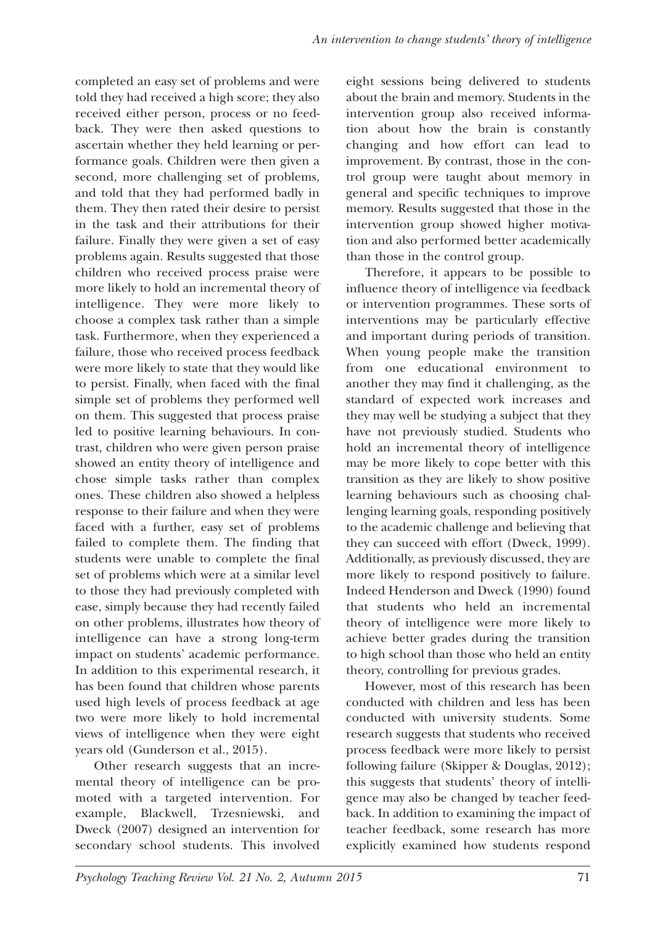completed an easy set of problems and were told they had received a high score; they also received either person, process or no feedback. They were then asked questions to ascertain whether they held learning or performance goals. Children were then given a second, more challenging set of problems, and told that they had performed badly in them. They then rated their desire to persist in the task and their attributions for their failure. Finally they were given a set of easy problems again. Results suggested that those children who received process praise were more likely to hold an incremental theory of intelligence. They were more likely to choose a complex task rather than a simple task. Furthermore, when they experienced a failure, those who received process feedback were more likely to state that they would like to persist. Finally, when faced with the final simple set of problems they performed well on them. This suggested that process praise led to positive learning behaviours. In contrast, children who were given person praise showed an entity theory of intelligence and chose simple tasks rather than complex ones. These children also showed a helpless response to their failure and when they were faced with a further, easy set of problems failed to complete them. The finding that students were unable to complete the final set of problems which were at a similar level to those they had previously completed with ease, simply because they had recently failed on other problems, illustrates how theory of intelligence can have a strong long-term impact on students' academic performance. In addition to this experimental research, it has been found that children whose parents used high levels of process feedback at age two were more likely to hold incremental views of intelligence when they were eight years old (Gunderson et al., 2015).

Other research suggests that an incremental theory of intelligence can be promoted with a targeted intervention. For example, Blackwell, Trzesniewski, and Dweck (2007) designed an intervention for secondary school students. This involved

eight sessions being delivered to students about the brain and memory. Students in the intervention group also received information about how the brain is constantly changing and how effort can lead to improvement. By contrast, those in the control group were taught about memory in general and specific techniques to improve memory. Results suggested that those in the intervention group showed higher motivation and also performed better academically than those in the control group.

Therefore, it appears to be possible to influence theory of intelligence via feedback or intervention programmes. These sorts of interventions may be particularly effective and important during periods of transition. When young people make the transition from one educational environment to another they may find it challenging, as the standard of expected work increases and they may well be studying a subject that they have not previously studied. Students who hold an incremental theory of intelligence may be more likely to cope better with this transition as they are likely to show positive learning behaviours such as choosing challenging learning goals, responding positively to the academic challenge and believing that they can succeed with effort (Dweck, 1999). Additionally, as previously discussed, they are more likely to respond positively to failure. Indeed Henderson and Dweck (1990) found that students who held an incremental theory of intelligence were more likely to achieve better grades during the transition to high school than those who held an entity theory, controlling for previous grades.

However, most of this research has been conducted with children and less has been conducted with university students. Some research suggests that students who received process feedback were more likely to persist following failure (Skipper & Douglas, 2012); this suggests that students' theory of intelligence may also be changed by teacher feedback. In addition to examining the impact of teacher feedback, some research has more explicitly examined how students respond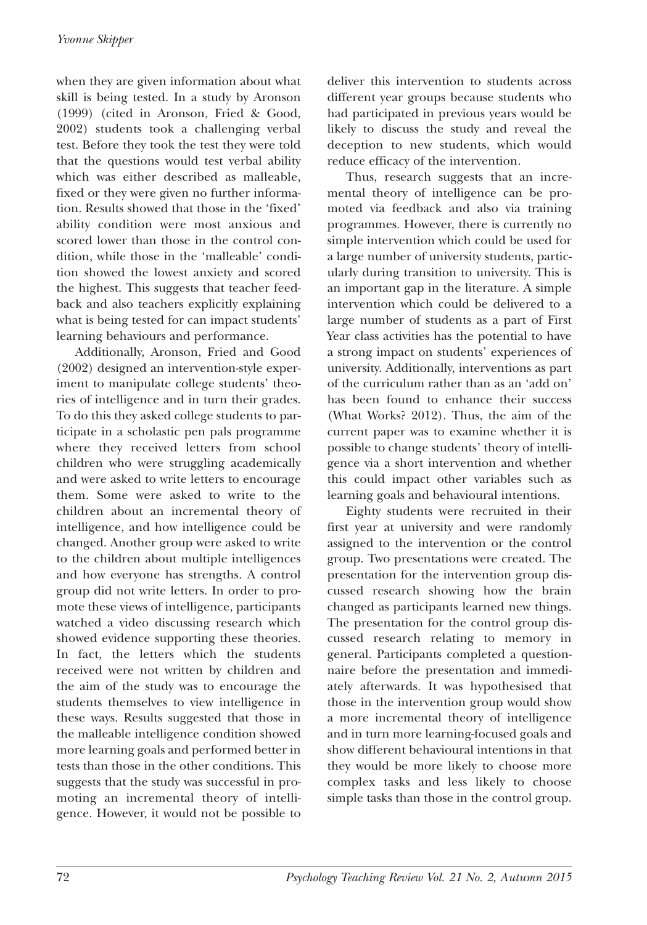when they are given information about what skill is being tested. In a study by Aronson (1999) (cited in Aronson, Fried & Good, 2002) students took a challenging verbal test. Before they took the test they were told that the questions would test verbal ability which was either described as malleable, fixed or they were given no further information. Results showed that those in the 'fixed' ability condition were most anxious and scored lower than those in the control condition, while those in the 'malleable' condition showed the lowest anxiety and scored the highest. This suggests that teacher feedback and also teachers explicitly explaining what is being tested for can impact students' learning behaviours and performance.

Additionally, Aronson, Fried and Good (2002) designed an intervention-style experiment to manipulate college students' theories of intelligence and in turn their grades. To do this they asked college students to participate in a scholastic pen pals programme where they received letters from school children who were struggling academically and were asked to write letters to encourage them. Some were asked to write to the children about an incremental theory of intelligence, and how intelligence could be changed. Another group were asked to write to the children about multiple intelligences and how everyone has strengths. A control group did not write letters. In order to promote these views of intelligence, participants watched a video discussing research which showed evidence supporting these theories. In fact, the letters which the students received were not written by children and the aim of the study was to encourage the students themselves to view intelligence in these ways. Results suggested that those in the malleable intelligence condition showed more learning goals and performed better in tests than those in the other conditions. This suggests that the study was successful in promoting an incremental theory of intelligence. However, it would not be possible to

deliver this intervention to students across different year groups because students who had participated in previous years would be likely to discuss the study and reveal the deception to new students, which would reduce efficacy of the intervention.

Thus, research suggests that an incremental theory of intelligence can be promoted via feedback and also via training programmes. However, there is currently no simple intervention which could be used for a large number of university students, particularly during transition to university. This is an important gap in the literature. A simple intervention which could be delivered to a large number of students as a part of First Year class activities has the potential to have a strong impact on students' experiences of university. Additionally, interventions as part of the curriculum rather than as an 'add on' has been found to enhance their success (What Works? 2012). Thus, the aim of the current paper was to examine whether it is possible to change students' theory of intelligence via a short intervention and whether this could impact other variables such as learning goals and behavioural intentions.

Eighty students were recruited in their first year at university and were randomly assigned to the intervention or the control group. Two presentations were created. The presentation for the intervention group discussed research showing how the brain changed as participants learned new things. The presentation for the control group discussed research relating to memory in general. Participants completed a questionnaire before the presentation and immediately afterwards. It was hypothesised that those in the intervention group would show a more incremental theory of intelligence and in turn more learning-focused goals and show different behavioural intentions in that they would be more likely to choose more complex tasks and less likely to choose simple tasks than those in the control group.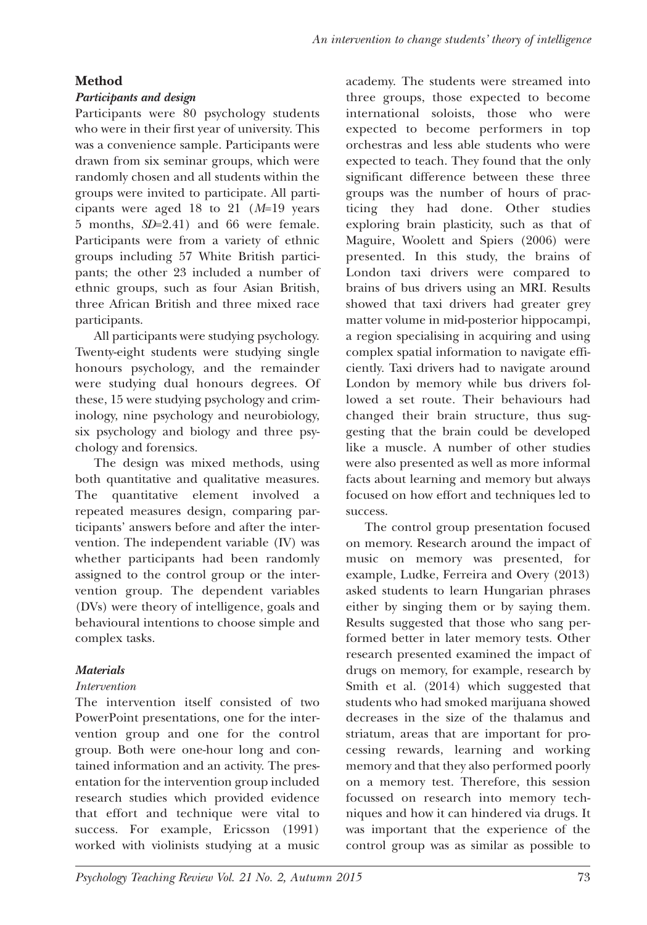# **Method**

#### *Participants and design*

Participants were 80 psychology students who were in their first year of university. This was a convenience sample. Participants were drawn from six seminar groups, which were randomly chosen and all students within the groups were invited to participate. All participants were aged 18 to 21 (*M*=19 years 5 months, *SD*=2.41) and 66 were female. Participants were from a variety of ethnic groups including 57 White British participants; the other 23 included a number of ethnic groups, such as four Asian British, three African British and three mixed race participants.

All participants were studying psychology. Twenty-eight students were studying single honours psychology, and the remainder were studying dual honours degrees. Of these, 15 were studying psychology and criminology, nine psychology and neurobiology, six psychology and biology and three psychology and forensics.

The design was mixed methods, using both quantitative and qualitative measures. The quantitative element involved a repeated measures design, comparing participants' answers before and after the intervention. The independent variable (IV) was whether participants had been randomly assigned to the control group or the intervention group. The dependent variables (DVs) were theory of intelligence, goals and behavioural intentions to choose simple and complex tasks.

## *Materials*

## *Intervention*

The intervention itself consisted of two PowerPoint presentations, one for the intervention group and one for the control group. Both were one-hour long and contained information and an activity. The presentation for the intervention group included research studies which provided evidence that effort and technique were vital to success. For example, Ericsson (1991) worked with violinists studying at a music academy. The students were streamed into three groups, those expected to become international soloists, those who were expected to become performers in top orchestras and less able students who were expected to teach. They found that the only significant difference between these three groups was the number of hours of practicing they had done. Other studies exploring brain plasticity, such as that of Maguire, Woolett and Spiers (2006) were presented. In this study, the brains of London taxi drivers were compared to brains of bus drivers using an MRI. Results showed that taxi drivers had greater grey matter volume in mid-posterior hippocampi, a region specialising in acquiring and using complex spatial information to navigate efficiently. Taxi drivers had to navigate around London by memory while bus drivers followed a set route. Their behaviours had changed their brain structure, thus suggesting that the brain could be developed like a muscle. A number of other studies were also presented as well as more informal facts about learning and memory but always focused on how effort and techniques led to success.

The control group presentation focused on memory. Research around the impact of music on memory was presented, for example, Ludke, Ferreira and Overy (2013) asked students to learn Hungarian phrases either by singing them or by saying them. Results suggested that those who sang performed better in later memory tests. Other research presented examined the impact of drugs on memory, for example, research by Smith et al. (2014) which suggested that students who had smoked marijuana showed decreases in the size of the thalamus and striatum, areas that are important for processing rewards, learning and working memory and that they also performed poorly on a memory test. Therefore, this session focussed on research into memory techniques and how it can hindered via drugs. It was important that the experience of the control group was as similar as possible to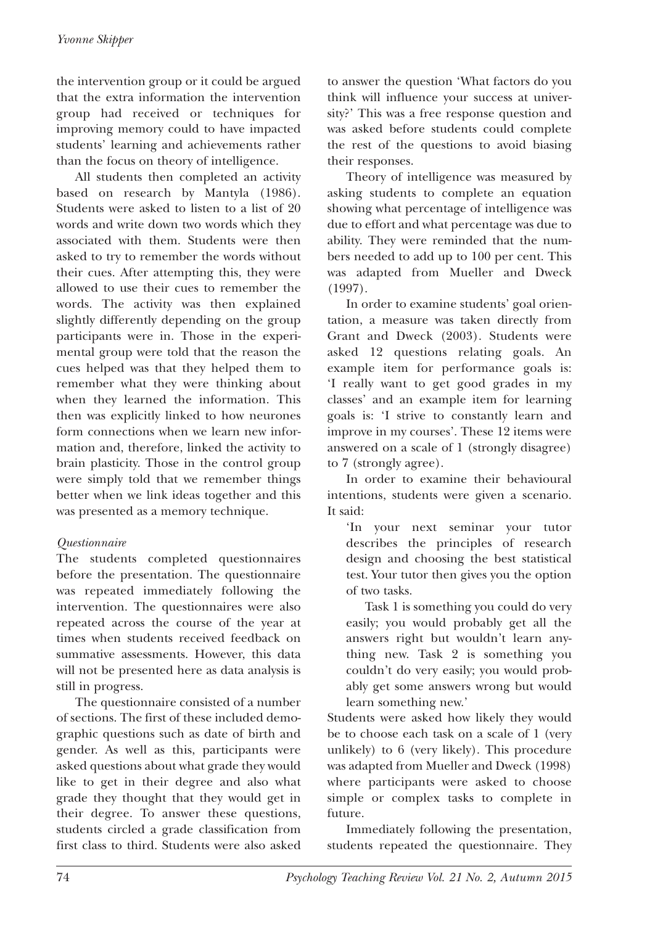the intervention group or it could be argued that the extra information the intervention group had received or techniques for improving memory could to have impacted students' learning and achievements rather than the focus on theory of intelligence.

All students then completed an activity based on research by Mantyla (1986). Students were asked to listen to a list of 20 words and write down two words which they associated with them. Students were then asked to try to remember the words without their cues. After attempting this, they were allowed to use their cues to remember the words. The activity was then explained slightly differently depending on the group participants were in. Those in the experimental group were told that the reason the cues helped was that they helped them to remember what they were thinking about when they learned the information. This then was explicitly linked to how neurones form connections when we learn new information and, therefore, linked the activity to brain plasticity. Those in the control group were simply told that we remember things better when we link ideas together and this was presented as a memory technique.

#### *Questionnaire*

The students completed questionnaires before the presentation. The questionnaire was repeated immediately following the intervention. The questionnaires were also repeated across the course of the year at times when students received feedback on summative assessments. However, this data will not be presented here as data analysis is still in progress.

The questionnaire consisted of a number of sections. The first of these included demographic questions such as date of birth and gender. As well as this, participants were asked questions about what grade they would like to get in their degree and also what grade they thought that they would get in their degree. To answer these questions, students circled a grade classification from first class to third. Students were also asked to answer the question 'What factors do you think will influence your success at university?' This was a free response question and was asked before students could complete the rest of the questions to avoid biasing their responses.

Theory of intelligence was measured by asking students to complete an equation showing what percentage of intelligence was due to effort and what percentage was due to ability. They were reminded that the numbers needed to add up to 100 per cent. This was adapted from Mueller and Dweck (1997).

In order to examine students' goal orientation, a measure was taken directly from Grant and Dweck (2003). Students were asked 12 questions relating goals. An example item for performance goals is: 'I really want to get good grades in my classes' and an example item for learning goals is: 'I strive to constantly learn and improve in my courses'. These 12 items were answered on a scale of 1 (strongly disagree) to 7 (strongly agree).

In order to examine their behavioural intentions, students were given a scenario. It said:

'In your next seminar your tutor describes the principles of research design and choosing the best statistical test. Your tutor then gives you the option of two tasks.

Task 1 is something you could do very easily; you would probably get all the answers right but wouldn't learn anything new. Task 2 is something you couldn't do very easily; you would probably get some answers wrong but would learn something new.'

Students were asked how likely they would be to choose each task on a scale of 1 (very unlikely) to 6 (very likely). This procedure was adapted from Mueller and Dweck (1998) where participants were asked to choose simple or complex tasks to complete in future.

Immediately following the presentation, students repeated the questionnaire. They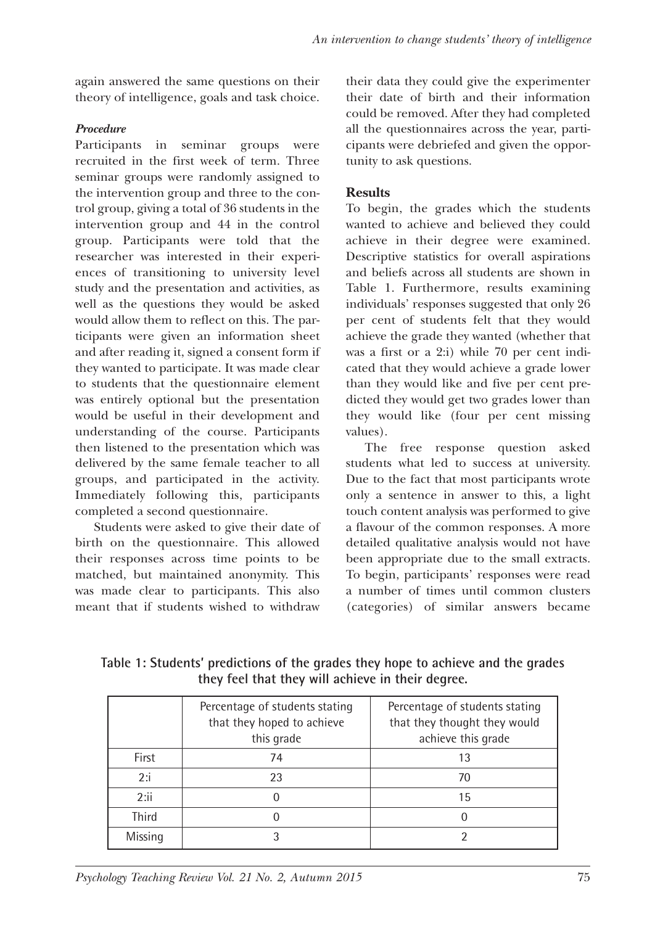again answered the same questions on their theory of intelligence, goals and task choice.

#### *Procedure*

Participants in seminar groups were recruited in the first week of term. Three seminar groups were randomly assigned to the intervention group and three to the control group, giving a total of 36 students in the intervention group and 44 in the control group. Participants were told that the researcher was interested in their experiences of transitioning to university level study and the presentation and activities, as well as the questions they would be asked would allow them to reflect on this. The participants were given an information sheet and after reading it, signed a consent form if they wanted to participate. It was made clear to students that the questionnaire element was entirely optional but the presentation would be useful in their development and understanding of the course. Participants then listened to the presentation which was delivered by the same female teacher to all groups, and participated in the activity. Immediately following this, participants completed a second questionnaire.

Students were asked to give their date of birth on the questionnaire. This allowed their responses across time points to be matched, but maintained anonymity. This was made clear to participants. This also meant that if students wished to withdraw

their data they could give the experimenter their date of birth and their information could be removed. After they had completed all the questionnaires across the year, participants were debriefed and given the opportunity to ask questions.

#### **Results**

To begin, the grades which the students wanted to achieve and believed they could achieve in their degree were examined. Descriptive statistics for overall aspirations and beliefs across all students are shown in Table 1. Furthermore, results examining individuals' responses suggested that only 26 per cent of students felt that they would achieve the grade they wanted (whether that was a first or a 2:i) while 70 per cent indicated that they would achieve a grade lower than they would like and five per cent predicted they would get two grades lower than they would like (four per cent missing values).

The free response question asked students what led to success at university. Due to the fact that most participants wrote only a sentence in answer to this, a light touch content analysis was performed to give a flavour of the common responses. A more detailed qualitative analysis would not have been appropriate due to the small extracts. To begin, participants' responses were read a number of times until common clusters (categories) of similar answers became

**Table 1: Students' predictions of the grades they hope to achieve and the grades they feel that they will achieve in their degree.**

|              | Percentage of students stating<br>that they hoped to achieve<br>this grade | Percentage of students stating<br>that they thought they would<br>achieve this grade |
|--------------|----------------------------------------------------------------------------|--------------------------------------------------------------------------------------|
| <b>First</b> | 74                                                                         | 13                                                                                   |
| 2:i          | 23                                                                         | 70                                                                                   |
| 2:ii         |                                                                            | 15                                                                                   |
| <b>Third</b> |                                                                            |                                                                                      |
| Missing      |                                                                            |                                                                                      |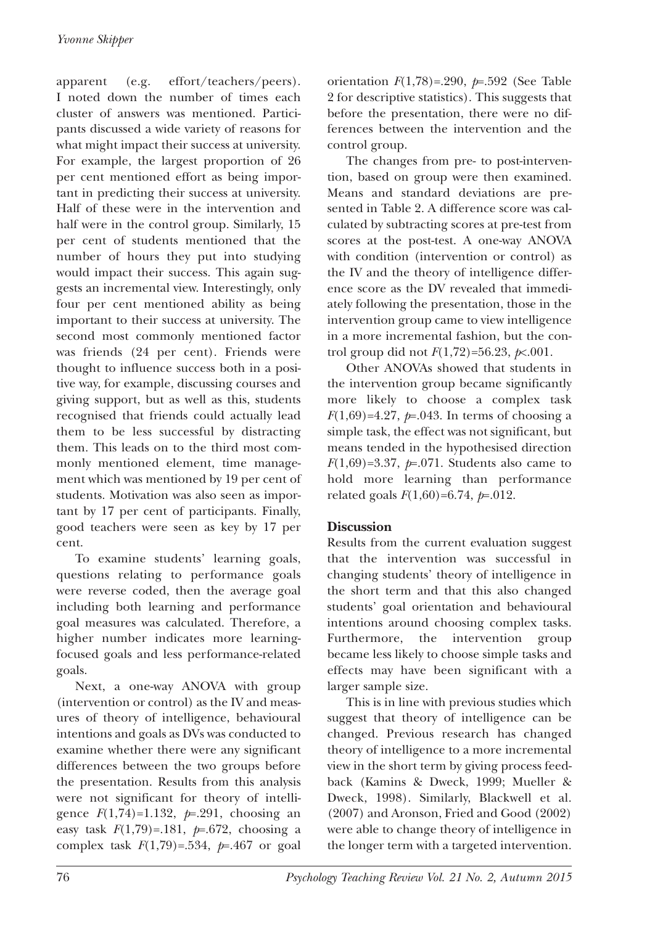apparent (e.g. effort/teachers/peers). I noted down the number of times each cluster of answers was mentioned. Participants discussed a wide variety of reasons for what might impact their success at university. For example, the largest proportion of 26 per cent mentioned effort as being important in predicting their success at university. Half of these were in the intervention and half were in the control group. Similarly, 15 per cent of students mentioned that the number of hours they put into studying would impact their success. This again suggests an incremental view. Interestingly, only four per cent mentioned ability as being important to their success at university. The second most commonly mentioned factor was friends (24 per cent). Friends were thought to influence success both in a positive way, for example, discussing courses and giving support, but as well as this, students recognised that friends could actually lead them to be less successful by distracting them. This leads on to the third most commonly mentioned element, time management which was mentioned by 19 per cent of students. Motivation was also seen as important by 17 per cent of participants. Finally, good teachers were seen as key by 17 per cent.

To examine students' learning goals, questions relating to performance goals were reverse coded, then the average goal including both learning and performance goal measures was calculated. Therefore, a higher number indicates more learningfocused goals and less performance-related goals.

Next, a one-way ANOVA with group (intervention or control) as the IV and measures of theory of intelligence, behavioural intentions and goals as DVs was conducted to examine whether there were any significant differences between the two groups before the presentation. Results from this analysis were not significant for theory of intelligence  $F(1,74)=1.132$ ,  $p=0.291$ , choosing an easy task *F*(1,79)=.181, *p*=.672, choosing a complex task *F*(1,79)=.534, *p*=.467 or goal orientation *F*(1,78)=.290, *p*=.592 (See Table 2 for descriptive statistics). This suggests that before the presentation, there were no differences between the intervention and the control group.

The changes from pre- to post-intervention, based on group were then examined. Means and standard deviations are presented in Table 2. A difference score was calculated by subtracting scores at pre-test from scores at the post-test. A one-way ANOVA with condition (intervention or control) as the IV and the theory of intelligence difference score as the DV revealed that immediately following the presentation, those in the intervention group came to view intelligence in a more incremental fashion, but the control group did not *F*(1,72)=56.23, *p*<.001.

Other ANOVAs showed that students in the intervention group became significantly more likely to choose a complex task *F*(1,69)=4.27,  $p=0.043$ . In terms of choosing a simple task, the effect was not significant, but means tended in the hypothesised direction *F*(1,69)=3.37, *p*=.071. Students also came to hold more learning than performance related goals *F*(1,60)=6.74, *p*=.012.

#### **Discussion**

Results from the current evaluation suggest that the intervention was successful in changing students' theory of intelligence in the short term and that this also changed students' goal orientation and behavioural intentions around choosing complex tasks. Furthermore, the intervention group became less likely to choose simple tasks and effects may have been significant with a larger sample size.

This is in line with previous studies which suggest that theory of intelligence can be changed. Previous research has changed theory of intelligence to a more incremental view in the short term by giving process feedback (Kamins & Dweck, 1999; Mueller & Dweck, 1998). Similarly, Blackwell et al.  $(2007)$  and Aronson, Fried and Good  $(2002)$ were able to change theory of intelligence in the longer term with a targeted intervention.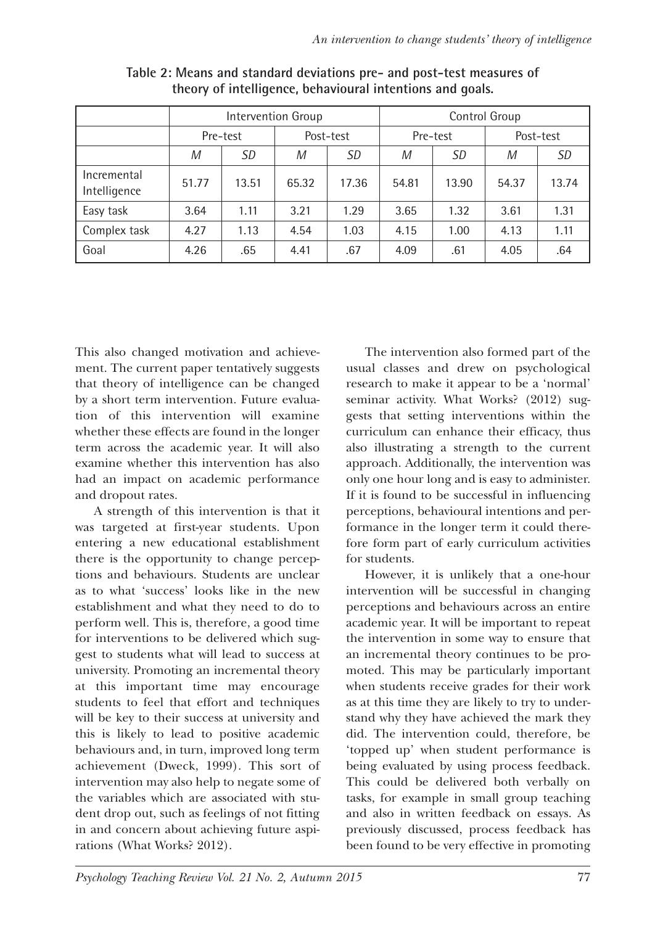|                             | Intervention Group |       |           |           | Control Group |       |           |       |
|-----------------------------|--------------------|-------|-----------|-----------|---------------|-------|-----------|-------|
|                             | Pre-test           |       | Post-test |           | Pre-test      |       | Post-test |       |
|                             | M                  | SD    | M         | <i>SD</i> | M             | SD    | M         | SD    |
| Incremental<br>Intelligence | 51.77              | 13.51 | 65.32     | 17.36     | 54.81         | 13.90 | 54.37     | 13.74 |
| Easy task                   | 3.64               | 1.11  | 3.21      | 1.29      | 3.65          | 1.32  | 3.61      | 1.31  |
| Complex task                | 4.27               | 1.13  | 4.54      | 1.03      | 4.15          | 1.00  | 4.13      | 1.11  |
| Goal                        | 4.26               | .65   | 4.41      | .67       | 4.09          | .61   | 4.05      | .64   |

**Table 2: Means and standard deviations pre- and post-test measures of theory of intelligence, behavioural intentions and goals.**

This also changed motivation and achievement. The current paper tentatively suggests that theory of intelligence can be changed by a short term intervention. Future evaluation of this intervention will examine whether these effects are found in the longer term across the academic year. It will also examine whether this intervention has also had an impact on academic performance and dropout rates.

A strength of this intervention is that it was targeted at first-year students. Upon entering a new educational establishment there is the opportunity to change perceptions and behaviours. Students are unclear as to what 'success' looks like in the new establishment and what they need to do to perform well. This is, therefore, a good time for interventions to be delivered which suggest to students what will lead to success at university. Promoting an incremental theory at this important time may encourage students to feel that effort and techniques will be key to their success at university and this is likely to lead to positive academic behaviours and, in turn, improved long term achievement (Dweck, 1999). This sort of intervention may also help to negate some of the variables which are associated with student drop out, such as feelings of not fitting in and concern about achieving future aspirations (What Works? 2012).

The intervention also formed part of the usual classes and drew on psychological research to make it appear to be a 'normal' seminar activity. What Works? (2012) suggests that setting interventions within the curriculum can enhance their efficacy, thus also illustrating a strength to the current approach. Additionally, the intervention was only one hour long and is easy to administer. If it is found to be successful in influencing perceptions, behavioural intentions and performance in the longer term it could therefore form part of early curriculum activities for students.

However, it is unlikely that a one-hour intervention will be successful in changing perceptions and behaviours across an entire academic year. It will be important to repeat the intervention in some way to ensure that an incremental theory continues to be promoted. This may be particularly important when students receive grades for their work as at this time they are likely to try to understand why they have achieved the mark they did. The intervention could, therefore, be 'topped up' when student performance is being evaluated by using process feedback. This could be delivered both verbally on tasks, for example in small group teaching and also in written feedback on essays. As previously discussed, process feedback has been found to be very effective in promoting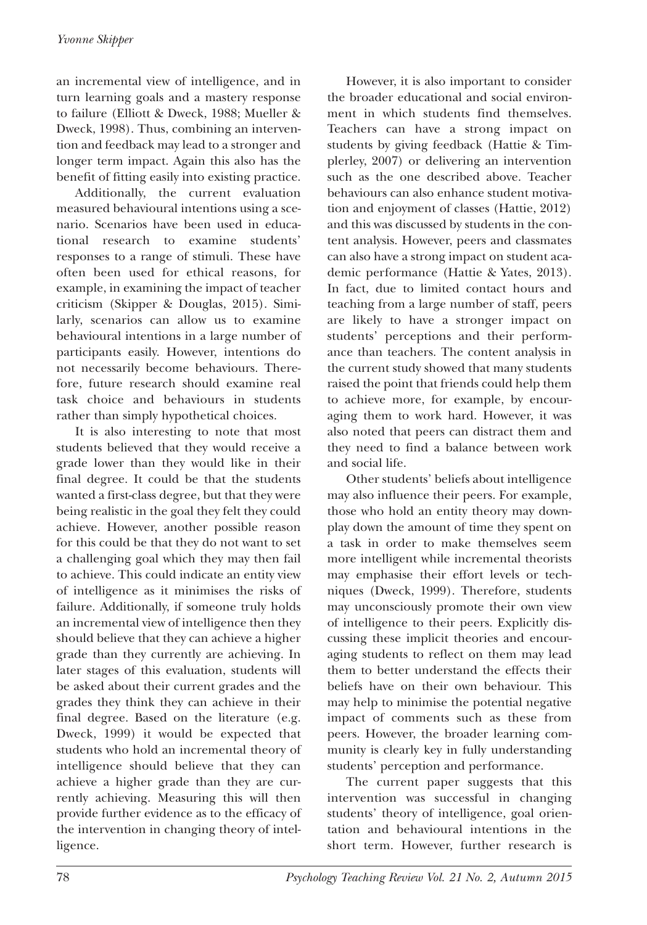an incremental view of intelligence, and in turn learning goals and a mastery response to failure (Elliott & Dweck, 1988; Mueller & Dweck, 1998). Thus, combining an intervention and feedback may lead to a stronger and longer term impact. Again this also has the benefit of fitting easily into existing practice.

Additionally, the current evaluation measured behavioural intentions using a scenario. Scenarios have been used in educational research to examine students' responses to a range of stimuli. These have often been used for ethical reasons, for example, in examining the impact of teacher criticism (Skipper & Douglas, 2015). Similarly, scenarios can allow us to examine behavioural intentions in a large number of participants easily. However, intentions do not necessarily become behaviours. Therefore, future research should examine real task choice and behaviours in students rather than simply hypothetical choices.

It is also interesting to note that most students believed that they would receive a grade lower than they would like in their final degree. It could be that the students wanted a first-class degree, but that they were being realistic in the goal they felt they could achieve. However, another possible reason for this could be that they do not want to set a challenging goal which they may then fail to achieve. This could indicate an entity view of intelligence as it minimises the risks of failure. Additionally, if someone truly holds an incremental view of intelligence then they should believe that they can achieve a higher grade than they currently are achieving. In later stages of this evaluation, students will be asked about their current grades and the grades they think they can achieve in their final degree. Based on the literature (e.g. Dweck, 1999) it would be expected that students who hold an incremental theory of intelligence should believe that they can achieve a higher grade than they are currently achieving. Measuring this will then provide further evidence as to the efficacy of the intervention in changing theory of intelligence.

However, it is also important to consider the broader educational and social environment in which students find themselves. Teachers can have a strong impact on students by giving feedback (Hattie & Timplerley, 2007) or delivering an intervention such as the one described above. Teacher behaviours can also enhance student motivation and enjoyment of classes (Hattie, 2012) and this was discussed by students in the content analysis. However, peers and classmates can also have a strong impact on student academic performance (Hattie & Yates, 2013). In fact, due to limited contact hours and teaching from a large number of staff, peers are likely to have a stronger impact on students' perceptions and their performance than teachers. The content analysis in the current study showed that many students raised the point that friends could help them to achieve more, for example, by encouraging them to work hard. However, it was also noted that peers can distract them and they need to find a balance between work and social life.

Other students' beliefs about intelligence may also influence their peers. For example, those who hold an entity theory may downplay down the amount of time they spent on a task in order to make themselves seem more intelligent while incremental theorists may emphasise their effort levels or techniques (Dweck, 1999). Therefore, students may unconsciously promote their own view of intelligence to their peers. Explicitly discussing these implicit theories and encouraging students to reflect on them may lead them to better understand the effects their beliefs have on their own behaviour. This may help to minimise the potential negative impact of comments such as these from peers. However, the broader learning community is clearly key in fully understanding students' perception and performance.

The current paper suggests that this intervention was successful in changing students' theory of intelligence, goal orientation and behavioural intentions in the short term. However, further research is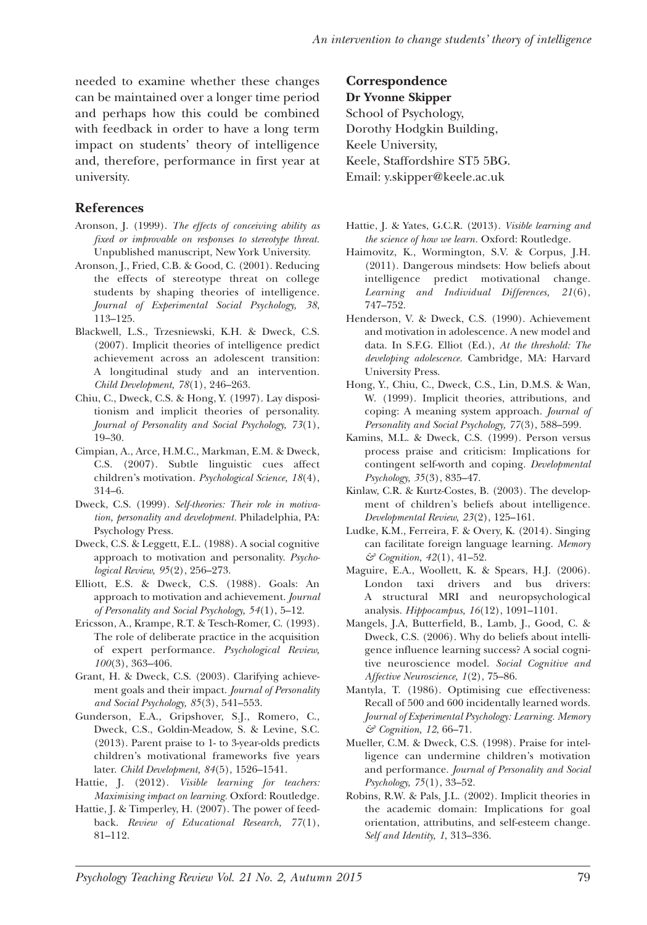needed to examine whether these changes can be maintained over a longer time period and perhaps how this could be combined with feedback in order to have a long term impact on students' theory of intelligence and, therefore, performance in first year at university.

#### **References**

- Aronson, J. (1999). *The effects of conceiving ability as fixed or improvable on responses to stereotype threat.* Unpublished manuscript, New York University.
- Aronson, J., Fried, C.B. & Good, C. (2001). Reducing the effects of stereotype threat on college students by shaping theories of intelligence. *Journal of Experimental Social Psychology, 38*, 113–125.
- Blackwell, L.S., Trzesniewski, K.H. & Dweck, C.S. (2007). Implicit theories of intelligence predict achievement across an adolescent transition: A longitudinal study and an intervention. *Child Development, 78*(1), 246–263.
- Chiu, C., Dweck, C.S. & Hong, Y. (1997). Lay dispositionism and implicit theories of personality. *Journal of Personality and Social Psychology, 73*(1), 19–30.
- Cimpian, A., Arce, H.M.C., Markman, E.M. & Dweck, C.S. (2007). Subtle linguistic cues affect children's motivation. *Psychological Science, 18*(4), 314–6.
- Dweck, C.S. (1999). *Self-theories: Their role in motivation, personality and development.* Philadelphia, PA: Psychology Press.
- Dweck, C.S. & Leggett, E.L. (1988). A social cognitive approach to motivation and personality. *Psychological Review, 95*(2), 256–273.
- Elliott, E.S. & Dweck, C.S. (1988). Goals: An approach to motivation and achievement. *Journal of Personality and Social Psychology, 54*(1), 5–12.
- Ericsson, A., Krampe, R.T. & Tesch-Romer, C. (1993). The role of deliberate practice in the acquisition of expert performance. *Psychological Review, 100*(3), 363–406.
- Grant, H. & Dweck, C.S. (2003). Clarifying achievement goals and their impact. *Journal of Personality and Social Psychology, 85*(3), 541–553.
- Gunderson, E.A., Gripshover, S.J., Romero, C., Dweck, C.S., Goldin-Meadow, S. & Levine, S.C. (2013). Parent praise to 1- to 3-year-olds predicts children's motivational frameworks five years later. *Child Development, 84*(5), 1526–1541.
- Hattie, J. (2012). *Visible learning for teachers: Maximising impact on learning.* Oxford: Routledge.
- Hattie, J. & Timperley, H. (2007). The power of feedback. *Review of Educational Research, 77*(1), 81–112.

**Correspondence Dr Yvonne Skipper** School of Psychology, Dorothy Hodgkin Building, Keele University, Keele, Staffordshire ST5 5Bg. Email: y.skipper@keele.ac.uk

- Hattie, J. & Yates, g.C.R. (2013). *Visible learning and the science of how we learn.* Oxford: Routledge.
- Haimovitz, K., Wormington, S.V. & Corpus, J.H. (2011). Dangerous mindsets: How beliefs about intelligence predict motivational change. *Learning and Individual Differences, 21*(6), 747–752.
- Henderson, V. & Dweck, C.S. (1990). Achievement and motivation in adolescence. A new model and data. In S.F.g. Elliot (Ed.), *At the threshold: The developing adolescence.* Cambridge, MA: Harvard University Press.
- Hong, Y., Chiu, C., Dweck, C.S., Lin, D.M.S. & Wan, W. (1999). Implicit theories, attributions, and coping: A meaning system approach. *Journal of Personality and Social Psychology, 77*(3), 588–599.
- Kamins, M.L. & Dweck, C.S. (1999). Person versus process praise and criticism: Implications for contingent self-worth and coping. *Developmental Psychology, 35*(3), 835–47.
- Kinlaw, C.R. & Kurtz-Costes, B. (2003). The development of children's beliefs about intelligence. *Developmental Review, 23*(2), 125–161.
- Ludke, K.M., Ferreira, F. & Overy, K. (2014). Singing can facilitate foreign language learning. *Memory & Cognition, 42*(1), 41–52.
- Maguire, E.A., Woollett, K. & Spears, H.J. (2006). London taxi drivers and bus drivers: A structural MRI and neuropsychological analysis. *Hippocampus, 16*(12), 1091–1101.
- Mangels, J.A, Butterfield, B., Lamb, J., good, C. & Dweck, C.S. (2006). Why do beliefs about intelligence influence learning success? A social cognitive neuroscience model. *Social Cognitive and Affective Neuroscience, 1*(2), 75–86.
- Mantyla, T. (1986). Optimising cue effectiveness: Recall of 500 and 600 incidentally learned words. *Journal of Experimental Psychology: Learning. Memory & Cognition, 12*, 66–71.
- Mueller, C.M. & Dweck, C.S. (1998). Praise for intelligence can undermine children's motivation and performance. *Journal of Personality and Social Psychology, 75*(1), 33–52.
- Robins, R.W. & Pals, J.L. (2002). Implicit theories in the academic domain: Implications for goal orientation, attributins, and self-esteem change. *Self and Identity, 1*, 313–336.